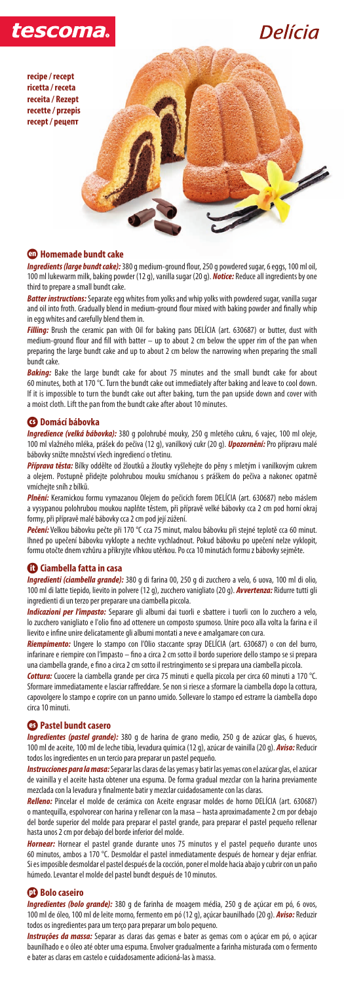

Delícia

*Ingredients (large bundt cake):* 380 g medium-ground flour, 250 g powdered sugar, 6 eggs, 100 ml oil, 100 ml lukewarm milk, baking powder (12 g), vanilla sugar (20 g). *Notice:* Reduce all ingredients by one third to prepare a small bundt cake.

*Batter instructions:* Separate egg whites from yolks and whip yolks with powdered sugar, vanilla sugar and oil into froth. Gradually blend in medium-ground flour mixed with baking powder and finally whip in egg whites and carefully blend them in.

**Baking:** Bake the large bundt cake for about 75 minutes and the small bundt cake for about 60 minutes, both at 170 °C. Turn the bundt cake out immediately after baking and leave to cool down. If it is impossible to turn the bundt cake out after baking, turn the pan upside down and cover with a moist cloth. Lift the pan from the bundt cake after about 10 minutes.

*Filling:* Brush the ceramic pan with Oil for baking pans DELÍCIA (art. 630687) or butter, dust with medium-ground flour and fill with batter – up to about 2 cm below the upper rim of the pan when preparing the large bundt cake and up to about 2 cm below the narrowing when preparing the small bundt cake.

# S **Domácí bábovka**

*Ingredience (velká bábovka):* 380 g polohrubé mouky, 250 g mletého cukru, 6 vajec, 100 ml oleje, 100 ml vlažného mléka, prášek do pečiva (12 g), vanilkový cukr (20 g). *Upozornění:* Pro přípravu malé bábovky snižte množství všech ingrediencí o třetinu.

*Příprava těsta:* Bílky oddělte od žloutků a žloutky vyšlehejte do pěny s mletým i vanilkovým cukrem a olejem. Postupně přidejte polohrubou mouku smíchanou s práškem do pečiva a nakonec opatrně vmíchejte sníh z bílků.

*Plnění:* Keramickou formu vymazanou Olejem do pečicích forem DELÍCIA (art. 630687) nebo máslem a vysypanou polohrubou moukou naplňte těstem, při přípravě velké bábovky cca 2 cm pod horní okraj formy, při přípravě malé bábovky cca 2 cm pod její zúžení.

*Ingredientes (pastel grande):* 380 g de harina de grano medio, 250 g de azúcar glas, 6 huevos, 100 ml de aceite, 100 ml de leche tibia, levadura química (12 g), azúcar de vainilla (20 g). *Aviso:* Reducir todos los ingredientes en un tercio para preparar un pastel pequeño.

*Pečení:* Velkou bábovku pečte při 170 °C cca 75 minut, malou bábovku při stejné teplotě cca 60 minut. Ihned po upečení bábovku vyklopte a nechte vychladnout. Pokud bábovku po upečení nelze vyklopit, formu otočte dnem vzhůru a přikryjte vlhkou utěrkou. Po cca 10 minutách formu z bábovky sejměte.

### G **Ciambella fatta in casa**

*Ingredienti (ciambella grande):* 380 g di farina 00, 250 g di zucchero a velo, 6 uova, 100 ml di olio, 100 ml di latte tiepido, lievito in polvere (12 g), zucchero vanigliato (20 g). *Avvertenza:* Ridurre tutti gli ingredienti di un terzo per preparare una ciambella piccola.

*Ingredientes (bolo grande):* 380 g de farinha de moagem média, 250 g de açúcar em pó, 6 ovos, 100 ml de óleo, 100 ml de leite morno, fermento em pó (12 g), açúcar baunilhado (20 g). *Aviso:* Reduzir todos os ingredientes para um terço para preparar um bolo pequeno.

*Indicazioni per l'impasto:* Separare gli albumi dai tuorli e sbattere i tuorli con lo zucchero a velo, lo zucchero vanigliato e l'olio fino ad ottenere un composto spumoso. Unire poco alla volta la farina e il lievito e infine unire delicatamente gli albumi montati a neve e amalgamare con cura.

*Riempimento:* Ungere lo stampo con l'Olio staccante spray DELÍCIA (art. 630687) o con del burro, infarinare e riempire con l'impasto – fino a circa 2 cm sotto il bordo superiore dello stampo se si prepara una ciambella grande, e fino a circa 2 cm sotto il restringimento se si prepara una ciambella piccola.

*Cottura:* Cuocere la ciambella grande per circa 75 minuti e quella piccola per circa 60 minuti a 170 °C. Sformare immediatamente e lasciar raffreddare. Se non si riesce a sformare la ciambella dopo la cottura, capovolgere lo stampo e coprire con un panno umido. Sollevare lo stampo ed estrarre la ciambella dopo circa 10 minuti.

# $\bullet$  **Pastel bundt casero**

*Instrucciones para la masa:* Separar las claras de las yemas y batir las yemas con el azúcar glas, el azúcar de vainilla y el aceite hasta obtener una espuma. De forma gradual mezclar con la harina previamente mezclada con la levadura y finalmente batir y mezclar cuidadosamente con las claras.

*Relleno:* Pincelar el molde de cerámica con Aceite engrasar moldes de horno DELÍCIA (art. 630687) o mantequilla, espolvorear con harina y rellenar con la masa – hasta aproximadamente 2 cm por debajo del borde superior del molde para preparar el pastel grande, para preparar el pastel pequeño rellenar hasta unos 2 cm por debajo del borde inferior del molde.

*Hornear:* Hornear el pastel grande durante unos 75 minutos y el pastel pequeño durante unos 60 minutos, ambos a 170 °C. Desmoldar el pastel inmediatamente después de hornear y dejar enfriar. Si es imposible desmoldar el pastel después de la cocción, poner el molde hacia abajo y cubrir con un paño húmedo. Levantar el molde del pastel bundt después de 10 minutos.

# **D** Bolo caseiro

*Instruções da massa:* Separar as claras das gemas e bater as gemas com o açúcar em pó, o açúcar baunilhado e o óleo até obter uma espuma. Envolver gradualmente a farinha misturada com o fermento e bater as claras em castelo e cuidadosamente adicioná-las à massa.

**recipe / recept ricetta / receta receita / Rezept recette / przepis recept / pецепт**

# **40** Homemade bundt cake